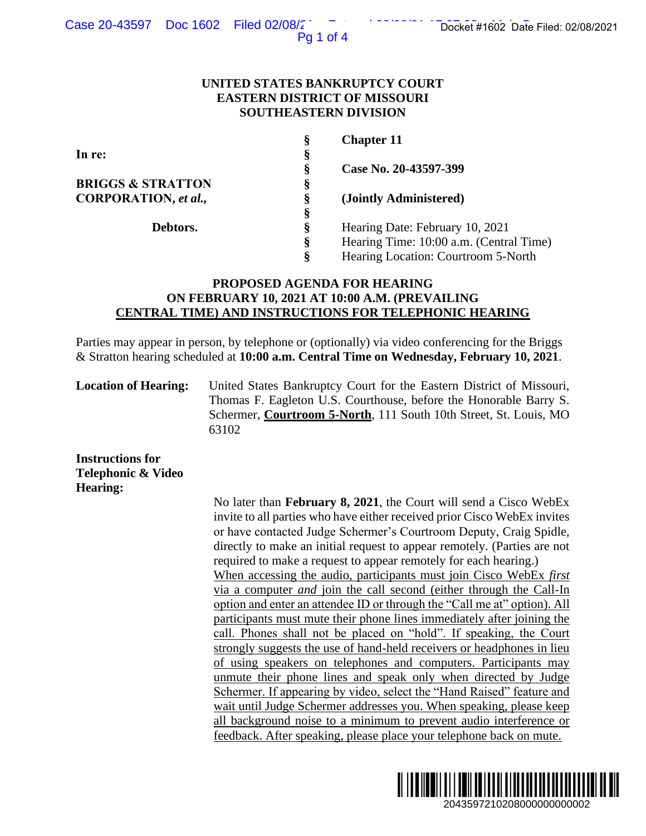Pg 1 of 4

## **UNITED STATES BANKRUPTCY COURT EASTERN DISTRICT OF MISSOURI SOUTHEASTERN DIVISION**

|                              | §  | <b>Chapter 11</b>                       |
|------------------------------|----|-----------------------------------------|
| In re:                       | §  |                                         |
|                              | ş  | Case No. 20-43597-399                   |
| <b>BRIGGS &amp; STRATTON</b> | §  |                                         |
| <b>CORPORATION</b> , et al., | ş  | (Jointly Administered)                  |
|                              | §  |                                         |
| Debtors.                     | §  | Hearing Date: February 10, 2021         |
|                              | §  | Hearing Time: 10:00 a.m. (Central Time) |
|                              | \$ | Hearing Location: Courtroom 5-North     |
|                              |    |                                         |

# **PROPOSED AGENDA FOR HEARING ON FEBRUARY 10, 2021 AT 10:00 A.M. (PREVAILING CENTRAL TIME) AND INSTRUCTIONS FOR TELEPHONIC HEARING**

Parties may appear in person, by telephone or (optionally) via video conferencing for the Briggs & Stratton hearing scheduled at **10:00 a.m. Central Time on Wednesday, February 10, 2021**.

**Location of Hearing:** United States Bankruptcy Court for the Eastern District of Missouri, Thomas F. Eagleton U.S. Courthouse, before the Honorable Barry S. Schermer, **Courtroom 5-North**, 111 South 10th Street, St. Louis, MO 63102

**Instructions for Telephonic & Video Hearing:**

No later than **February 8, 2021**, the Court will send a Cisco WebEx invite to all parties who have either received prior Cisco WebEx invites or have contacted Judge Schermer's Courtroom Deputy, Craig Spidle, directly to make an initial request to appear remotely. (Parties are not required to make a request to appear remotely for each hearing.) When accessing the audio, participants must join Cisco WebEx *first*  via a computer *and* join the call second (either through the Call-In option and enter an attendee ID or through the "Call me at" option). All participants must mute their phone lines immediately after joining the call. Phones shall not be placed on "hold". If speaking, the Court strongly suggests the use of hand-held receivers or headphones in lieu of using speakers on telephones and computers. Participants may unmute their phone lines and speak only when directed by Judge Schermer. If appearing by video, select the "Hand Raised" feature and wait until Judge Schermer addresses you. When speaking, please keep all background noise to a minimum to prevent audio interference or feedback. After speaking, please place your telephone back on mute. 2043597210208000000000002 Docket #1602 Date Filed: 02/08/2021

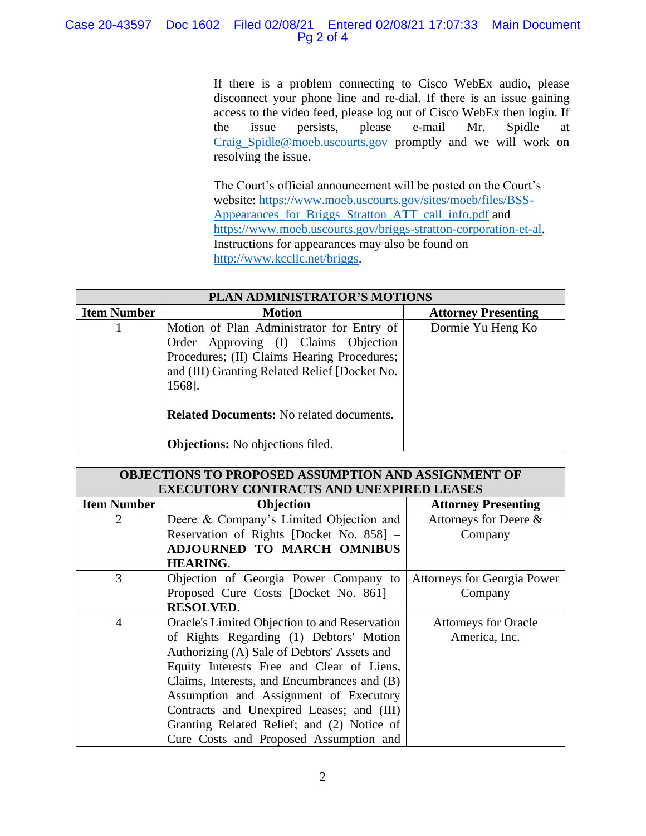# Case 20-43597 Doc 1602 Filed 02/08/21 Entered 02/08/21 17:07:33 Main Document Pg 2 of 4

If there is a problem connecting to Cisco WebEx audio, please disconnect your phone line and re-dial. If there is an issue gaining access to the video feed, please log out of Cisco WebEx then login. If the issue persists, please e-mail Mr. Spidle at [Craig\\_Spidle@moeb.uscourts.gov](mailto:Shontelle_McCoy@moeb.uscourts.gov) promptly and we will work on resolving the issue.

The Court's official announcement will be posted on the Court's website: [https://www.moeb.uscourts.gov/sites/moeb/files/BSS-](https://www.moeb.uscourts.gov/sites/moeb/files/BSS-Appearances_for_Briggs_Stratton_ATT_call_info.pdf)[Appearances\\_for\\_Briggs\\_Stratton\\_ATT\\_call\\_info.pdf](https://www.moeb.uscourts.gov/sites/moeb/files/BSS-Appearances_for_Briggs_Stratton_ATT_call_info.pdf) and [https://www.moeb.uscourts.gov/briggs-stratton-corporation-et-al.](https://www.moeb.uscourts.gov/briggs-stratton-corporation-et-al) Instructions for appearances may also be found on [http://www.kccllc.net/briggs.](http://www.kccllc.net/briggs)

| PLAN ADMINISTRATOR'S MOTIONS |                                                                                                                                                                                             |                            |  |  |
|------------------------------|---------------------------------------------------------------------------------------------------------------------------------------------------------------------------------------------|----------------------------|--|--|
| <b>Item Number</b>           | <b>Motion</b>                                                                                                                                                                               | <b>Attorney Presenting</b> |  |  |
|                              | Motion of Plan Administrator for Entry of<br>Order Approving (I) Claims Objection<br>Procedures; (II) Claims Hearing Procedures;<br>and (III) Granting Related Relief [Docket No.<br>1568]. | Dormie Yu Heng Ko          |  |  |
|                              | <b>Related Documents:</b> No related documents.<br><b>Objections:</b> No objections filed.                                                                                                  |                            |  |  |

| <b>OBJECTIONS TO PROPOSED ASSUMPTION AND ASSIGNMENT OF</b> |                                                                   |                             |  |  |
|------------------------------------------------------------|-------------------------------------------------------------------|-----------------------------|--|--|
|                                                            | <b>EXECUTORY CONTRACTS AND UNEXPIRED LEASES</b>                   |                             |  |  |
| <b>Item Number</b>                                         | Objection                                                         | <b>Attorney Presenting</b>  |  |  |
| $\overline{2}$                                             | Deere & Company's Limited Objection and                           | Attorneys for Deere &       |  |  |
|                                                            | Reservation of Rights [Docket No. 858] -                          | Company                     |  |  |
|                                                            | ADJOURNED TO MARCH OMNIBUS                                        |                             |  |  |
|                                                            | <b>HEARING.</b>                                                   |                             |  |  |
| 3                                                          | Objection of Georgia Power Company to Attorneys for Georgia Power |                             |  |  |
|                                                            | Proposed Cure Costs [Docket No. 861] -                            | Company                     |  |  |
|                                                            | <b>RESOLVED.</b>                                                  |                             |  |  |
| $\overline{4}$                                             | Oracle's Limited Objection to and Reservation                     | <b>Attorneys for Oracle</b> |  |  |
|                                                            | of Rights Regarding (1) Debtors' Motion                           | America, Inc.               |  |  |
|                                                            | Authorizing (A) Sale of Debtors' Assets and                       |                             |  |  |
|                                                            | Equity Interests Free and Clear of Liens,                         |                             |  |  |
|                                                            | Claims, Interests, and Encumbrances and (B)                       |                             |  |  |
|                                                            | Assumption and Assignment of Executory                            |                             |  |  |
|                                                            | Contracts and Unexpired Leases; and (III)                         |                             |  |  |
|                                                            | Granting Related Relief; and (2) Notice of                        |                             |  |  |
|                                                            | Cure Costs and Proposed Assumption and                            |                             |  |  |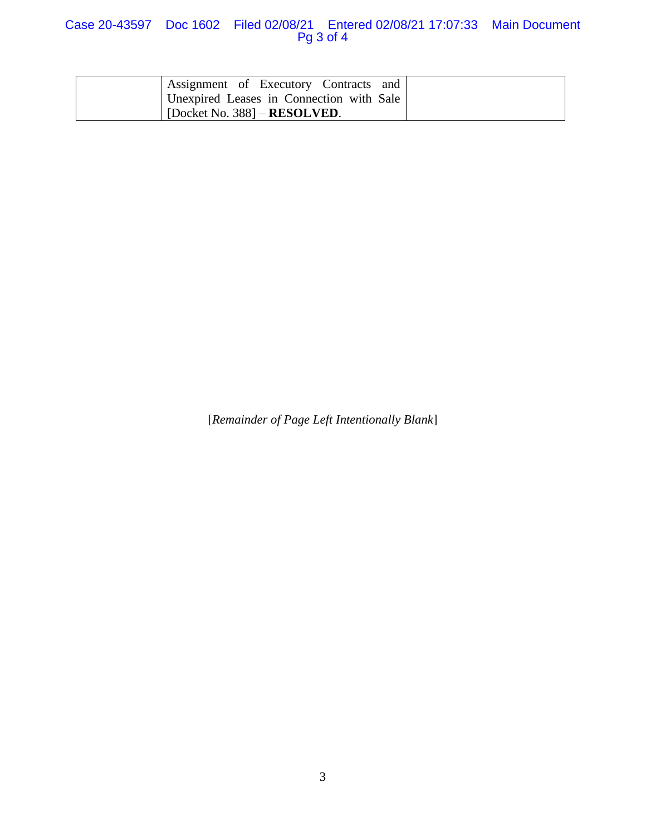## Case 20-43597 Doc 1602 Filed 02/08/21 Entered 02/08/21 17:07:33 Main Document Pg 3 of 4

| Assignment of Executory Contracts and    |  |
|------------------------------------------|--|
| Unexpired Leases in Connection with Sale |  |
| [Docket No. 388] $-$ <b>RESOLVED</b> .   |  |

[*Remainder of Page Left Intentionally Blank*]